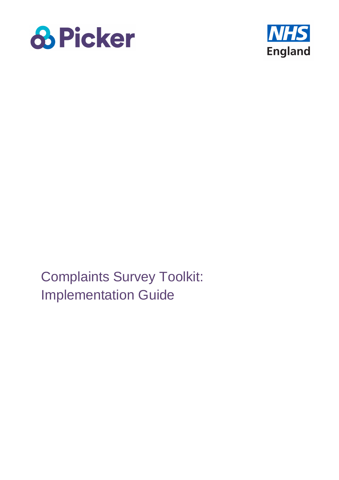



Complaints Survey Toolkit: Implementation Guide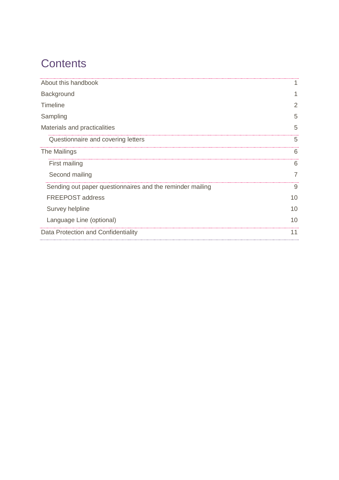# **Contents**

| About this handbook                                       |    |
|-----------------------------------------------------------|----|
| Background                                                |    |
| <b>Timeline</b>                                           | 2  |
| Sampling                                                  | 5  |
| Materials and practicalities                              | 5  |
| Questionnaire and covering letters                        | 5  |
| The Mailings                                              | 6  |
| First mailing                                             | 6  |
| Second mailing                                            | 7  |
| Sending out paper questionnaires and the reminder mailing | 9  |
| <b>FREEPOST address</b>                                   | 10 |
| Survey helpline                                           | 10 |
| Language Line (optional)                                  | 10 |
| Data Protection and Confidentiality                       | 11 |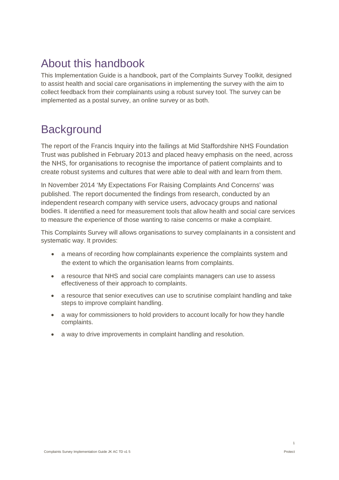## <span id="page-2-0"></span>About this handbook

This Implementation Guide is a handbook, part of the Complaints Survey Toolkit, designed to assist health and social care organisations in implementing the survey with the aim to collect feedback from their complainants using a robust survey tool. The survey can be implemented as a postal survey, an online survey or as both.

## <span id="page-2-1"></span>**Background**

The report of the Francis Inquiry into the failings at Mid Staffordshire NHS Foundation Trust was published in February 2013 and placed heavy emphasis on the need, across the NHS, for organisations to recognise the importance of patient complaints and to create robust systems and cultures that were able to deal with and learn from them.

In November 2014 'My Expectations For Raising Complaints And Concerns' was published. The report documented the findings from research, conducted by an independent research company with service users, advocacy groups and national bodies. It identified a need for measurement tools that allow health and social care services to measure the experience of those wanting to raise concerns or make a complaint.

This Complaints Survey will allows organisations to survey complainants in a consistent and systematic way. It provides:

- a means of recording how complainants experience the complaints system and the extent to which the organisation learns from complaints.
- a resource that NHS and social care complaints managers can use to assess effectiveness of their approach to complaints.
- a resource that senior executives can use to scrutinise complaint handling and take steps to improve complaint handling.
- a way for commissioners to hold providers to account locally for how they handle complaints.
- a way to drive improvements in complaint handling and resolution.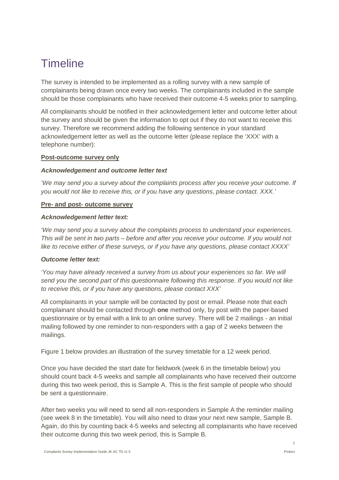## <span id="page-3-0"></span>**Timeline**

The survey is intended to be implemented as a rolling survey with a new sample of complainants being drawn once every two weeks. The complainants included in the sample should be those complainants who have received their outcome 4-5 weeks prior to sampling.

All complainants should be notified in their acknowledgement letter and outcome letter about the survey and should be given the information to opt out if they do not want to receive this survey. Therefore we recommend adding the following sentence in your standard acknowledgement letter as well as the outcome letter (please replace the 'XXX' with a telephone number):

#### **Post-outcome survey only**

#### *Acknowledgement and outcome letter text*

*'We may send you a survey about the complaints process after you receive your outcome. If you would not like to receive this, or if you have any questions, please contact. XXX.'*

#### **Pre- and post- outcome survey**

#### *Acknowledgement letter text:*

*'We may send you a survey about the complaints process to understand your experiences. This will be sent in two parts – before and after you receive your outcome. If you would not like to receive either of these surveys, or if you have any questions, please contact XXXX'*

#### *Outcome letter text:*

*'You may have already received a survey from us about your experiences so far. We will send you the second part of this questionnaire following this response. If you would not like to receive this, or if you have any questions, please contact XXX'*

All complainants in your sample will be contacted by post or email. Please note that each complainant should be contacted through **one** method only, by post with the paper-based questionnaire or by email with a link to an online survey. There will be 2 mailings - an initial mailing followed by one reminder to non-responders with a gap of 2 weeks between the mailings.

Figure 1 below provides an illustration of the survey timetable for a 12 week period.

Once you have decided the start date for fieldwork (week 6 in the timetable below) you should count back 4-5 weeks and sample all complainants who have received their outcome during this two week period, this is Sample A. This is the first sample of people who should be sent a questionnaire.

After two weeks you will need to send all non-responders in Sample A the reminder mailing (see week 8 in the timetable). You will also need to draw your next new sample, Sample B. Again, do this by counting back 4-5 weeks and selecting all complainants who have received their outcome during this two week period, this is Sample B.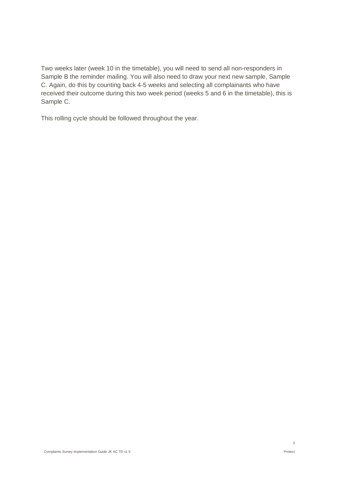Two weeks later (week 10 in the timetable), you will need to send all non-responders in Sample B the reminder mailing. You will also need to draw your next new sample, Sample C. Again, do this by counting back 4-5 weeks and selecting all complainants who have received their outcome during this two week period (weeks 5 and 6 in the timetable), this is Sample C.

This rolling cycle should be followed throughout the year.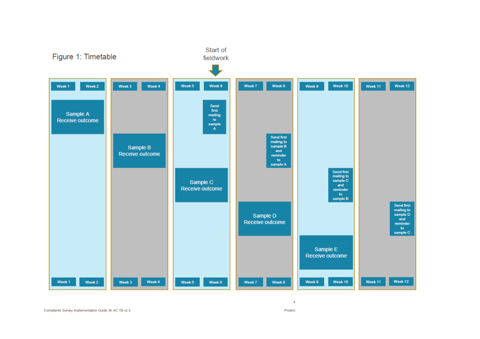

Complaints Survey Implementation Guide JK AC TD v1

5 Protect and the contract of the contract of the contract of the contract of the contract of the contract of the contract of the contract of the contract of the contract of the contract of the contract of the contract of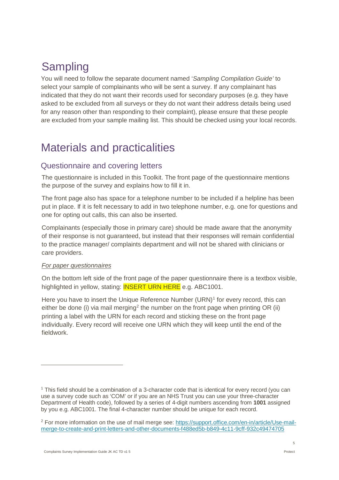# <span id="page-6-0"></span>Sampling

You will need to follow the separate document named '*Sampling Compilation Guide'* to select your sample of complainants who will be sent a survey. If any complainant has indicated that they do not want their records used for secondary purposes (e.g. they have asked to be excluded from all surveys or they do not want their address details being used for any reason other than responding to their complaint), please ensure that these people are excluded from your sample mailing list. This should be checked using your local records.

## <span id="page-6-1"></span>Materials and practicalities

### <span id="page-6-2"></span>Questionnaire and covering letters

The questionnaire is included in this Toolkit. The front page of the questionnaire mentions the purpose of the survey and explains how to fill it in.

The front page also has space for a telephone number to be included if a helpline has been put in place. If it is felt necessary to add in two telephone number, e.g. one for questions and one for opting out calls, this can also be inserted.

Complainants (especially those in primary care) should be made aware that the anonymity of their response is not guaranteed, but instead that their responses will remain confidential to the practice manager/ complaints department and will not be shared with clinicians or care providers.

#### *For paper questionnaires*

 $\overline{a}$ 

On the bottom left side of the front page of the paper questionnaire there is a textbox visible, highlighted in yellow, stating: **INSERT URN HERE** e.g. ABC1001.

Here you have to insert the Unique Reference Number (URN)<sup>[1](#page-6-3)</sup> for every record, this can either be done (i) via mail merging<sup>[2](#page-6-4)</sup> the number on the front page when printing OR (ii) printing a label with the URN for each record and sticking these on the front page individually. Every record will receive one URN which they will keep until the end of the fieldwork.

<span id="page-6-3"></span><sup>1</sup> This field should be a combination of a 3-character code that is identical for every record (you can use a survey code such as 'COM' or if you are an NHS Trust you can use your three-character Department of Health code), followed by a series of 4-digit numbers ascending from **1001** assigned by you e.g. ABC1001. The final 4-character number should be unique for each record.

<span id="page-6-4"></span><sup>2</sup> For more information on the use of mail merge see: [https://support.office.com/en-in/article/Use-mail](https://support.office.com/en-in/article/Use-mail-merge-to-create-and-print-letters-and-other-documents-f488ed5b-b849-4c11-9cff-932c49474705)[merge-to-create-and-print-letters-and-other-documents-f488ed5b-b849-4c11-9cff-932c49474705](https://support.office.com/en-in/article/Use-mail-merge-to-create-and-print-letters-and-other-documents-f488ed5b-b849-4c11-9cff-932c49474705)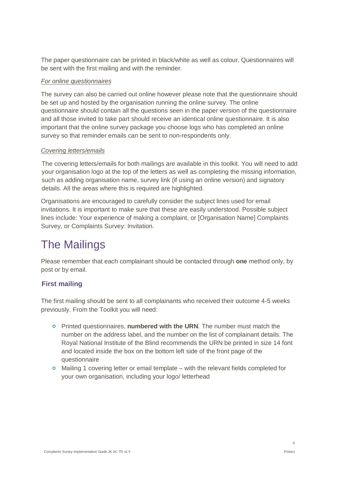The paper questionnaire can be printed in black/white as well as colour. Questionnaires will be sent with the first mailing and with the reminder.

#### *For online questionnaires*

The survey can also be carried out online however please note that the questionnaire should be set up and hosted by the organisation running the online survey. The online questionnaire should contain all the questions seen in the paper version of the questionnaire and all those invited to take part should receive an identical online questionnaire. It is also important that the online survey package you choose logs who has completed an online survey so that reminder emails can be sent to non-respondents only.

#### *Covering letters/emails*

The covering letters/emails for both mailings are available in this toolkit. You will need to add your organisation logo at the top of the letters as well as completing the missing information, such as adding organisation name, survey link (if using an online version) and signatory details. All the areas where this is required are highlighted.

Organisations are encouraged to carefully consider the subject lines used for email invitations. It is important to make sure that these are easily understood. Possible subject lines include: Your experience of making a complaint, or [Organisation Name] Complaints Survey, or Complaints Survey: Invitation.

## <span id="page-7-0"></span>The Mailings

Please remember that each complainant should be contacted through **one** method only, by post or by email.

#### <span id="page-7-1"></span>**First mailing**

The first mailing should be sent to all complainants who received their outcome 4-5 weeks previously. From the Toolkit you will need:

- Printed questionnaires, **numbered with the URN**. The number must match the number on the address label, and the number on the list of complainant details. The Royal National Institute of the Blind recommends the URN be printed in size 14 font and located inside the box on the bottom left side of the front page of the questionnaire
- $\circ$  Mailing 1 covering letter or email template with the relevant fields completed for your own organisation, including your logo/ letterhead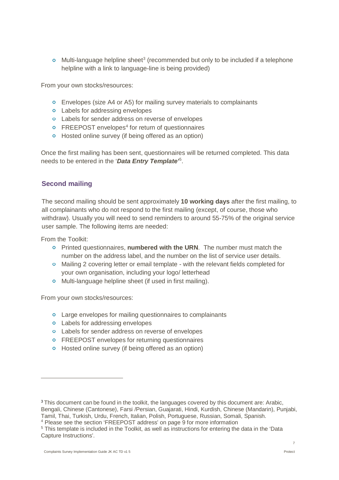$\circ$  Multi-language helpline sheet<sup>[3](#page-8-1)</sup> (recommended but only to be included if a telephone helpline with a link to language-line is being provided)

From your own stocks/resources:

- Envelopes (size A4 or A5) for mailing survey materials to complainants
- **o** Labels for addressing envelopes
- Labels for sender address on reverse of envelopes
- $\circ$  FREEPOST envelopes<sup>[4](#page-8-2)</sup> for return of questionnaires
- **o** Hosted online survey (if being offered as an option)

Once the first mailing has been sent, questionnaires will be returned completed. This data needs to be entered in the '*Data Entry Template'* [5](#page-8-3) .

#### <span id="page-8-0"></span>**Second mailing**

The second mailing should be sent approximately **10 working days** after the first mailing, to all complainants who do not respond to the first mailing (except, of course, those who withdraw). Usually you will need to send reminders to around 55-75% of the original service user sample. The following items are needed:

From the Toolkit:

 $\overline{a}$ 

- Printed questionnaires, **numbered with the URN**. The number must match the number on the address label, and the number on the list of service user details.
- Mailing 2 covering letter or email template with the relevant fields completed for your own organisation, including your logo/ letterhead
- **o** Multi-language helpline sheet (if used in first mailing).

From your own stocks/resources:

- **o** Large envelopes for mailing questionnaires to complainants
- **o** Labels for addressing envelopes
- **o** Labels for sender address on reverse of envelopes
- **o** FREEPOST envelopes for returning questionnaires
- **o** Hosted online survey (if being offered as an option)

<span id="page-8-1"></span><sup>&</sup>lt;sup>3</sup> This document can be found in the toolkit, the languages covered by this document are: Arabic, Bengali, Chinese (Cantonese), Farsi /Persian, Guajarati, Hindi, Kurdish, Chinese (Mandarin), Punjabi, Tamil, Thai, Turkish, Urdu, French, Italian, Polish, Portuguese, Russian, Somali, Spanish.

<span id="page-8-2"></span><sup>&</sup>lt;sup>4</sup> Please see the section 'FREEPOST address' on page 9 for more information

<span id="page-8-3"></span><sup>5</sup> This template is included in the Toolkit, as well as instructions for entering the data in the 'Data Capture Instructions'.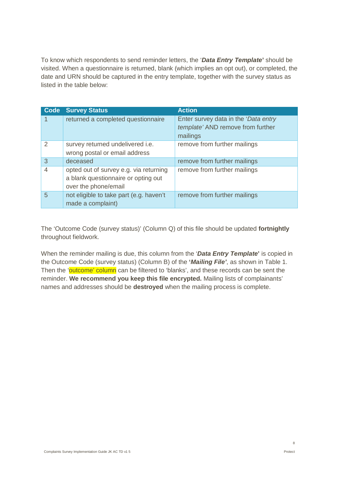To know which respondents to send reminder letters, the '*Data Entry Template***'** should be visited. When a questionnaire is returned, blank (which implies an opt out), or completed, the date and URN should be captured in the entry template, together with the survey status as listed in the table below:

| Code | <b>Survey Status</b>                                                                                  | <b>Action</b>                                                                          |
|------|-------------------------------------------------------------------------------------------------------|----------------------------------------------------------------------------------------|
|      | returned a completed questionnaire                                                                    | Enter survey data in the 'Data entry'<br>template' AND remove from further<br>mailings |
| 2    | survey returned undelivered i.e.<br>wrong postal or email address                                     | remove from further mailings                                                           |
| 3    | deceased                                                                                              | remove from further mailings                                                           |
| 4    | opted out of survey e.g. via returning<br>a blank questionnaire or opting out<br>over the phone/email | remove from further mailings                                                           |
| 5    | not eligible to take part (e.g. haven't<br>made a complaint)                                          | remove from further mailings                                                           |

The 'Outcome Code (survey status)' (Column Q) of this file should be updated **fortnightly**  throughout fieldwork.

When the reminder mailing is due, this column from the '*Data Entry Template***'** is copied in the Outcome Code (survey status) (Column B) of the **'***Mailing File'*, as shown in Table 1. Then the 'outcome' column can be filtered to 'blanks', and these records can be sent the reminder. **We recommend you keep this file encrypted.** Mailing lists of complainants' names and addresses should be **destroyed** when the mailing process is complete.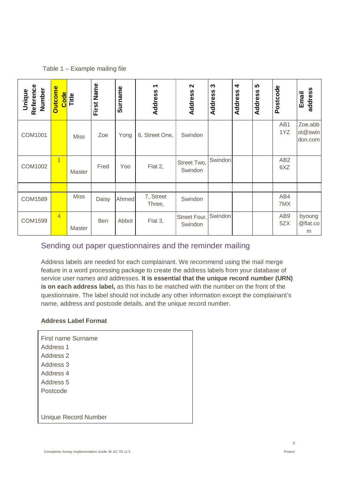#### Table 1 – Example mailing file

| Reference<br>Number<br>Unique | <b>Outcome</b> | Code<br>Title | Name<br>First | Surname | ᠆<br>Address        | $\mathbf{\Omega}$<br>Address    | S<br>Address | $\blacktriangleleft$<br>Address | <b>50</b><br>Address | Postcode               | address<br>Email              |
|-------------------------------|----------------|---------------|---------------|---------|---------------------|---------------------------------|--------------|---------------------------------|----------------------|------------------------|-------------------------------|
| COM1001                       |                | <b>Miss</b>   | Zoe           | Yong    | 6, Street One,      | Swindon                         |              |                                 |                      | AB1<br>1YZ             | Zoe.abb<br>ot@swin<br>don.com |
| COM1002                       | $\overline{1}$ | Master        | Fred          | Yoo     | Flat 2,             | Street Two,<br>Swindon          | Swindon      |                                 |                      | AB <sub>2</sub><br>6XZ |                               |
| COM1589                       |                | <b>Miss</b>   | Daisy         | Ahmed   | 7, Street<br>Three, | Swindon                         |              |                                 |                      | AB4<br>7MX             |                               |
| COM1599                       | $\overline{4}$ | Master        | Ben           | Abbot   | Flat 3,             | Street Four, Swindon<br>Swindon |              |                                 |                      | AB9<br>5ZX             | byoung<br>@flat.co<br>m       |

### <span id="page-10-0"></span>Sending out paper questionnaires and the reminder mailing

Address labels are needed for each complainant. We recommend using the mail merge feature in a word processing package to create the address labels from your database of service user names and addresses. **It is essential that the unique record number (URN) is on each address label,** as this has to be matched with the number on the front of the questionnaire. The label should not include any other information except the complainant's name, address and postcode details, and the unique record number.

#### **Address Label Format**

| First name Surname   |
|----------------------|
| Address 1            |
| Address 2            |
| Address 3            |
| Address 4            |
| Address 5            |
| Postcode             |
|                      |
|                      |
| Unique Record Number |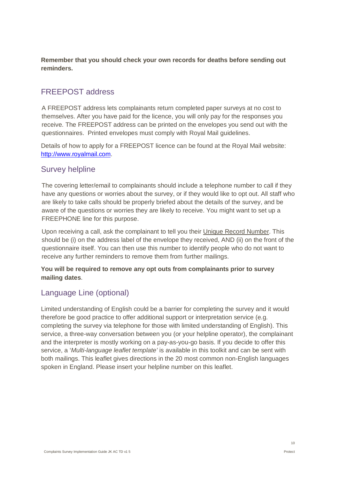**Remember that you should check your own records for deaths before sending out reminders.** 

### <span id="page-11-0"></span>FREEPOST address

A FREEPOST address lets complainants return completed paper surveys at no cost to themselves. After you have paid for the licence, you will only pay for the responses you receive. The FREEPOST address can be printed on the envelopes you send out with the questionnaires. Printed envelopes must comply with Royal Mail guidelines.

Details of how to apply for a FREEPOST licence can be found at the Royal Mail website: [http://www.royalmail.com.](http://www.royalmail.com/)

### <span id="page-11-1"></span>Survey helpline

The covering letter/email to complainants should include a telephone number to call if they have any questions or worries about the survey, or if they would like to opt out. All staff who are likely to take calls should be properly briefed about the details of the survey, and be aware of the questions or worries they are likely to receive. You might want to set up a FREEPHONE line for this purpose.

Upon receiving a call, ask the complainant to tell you their Unique Record Number. This should be (i) on the address label of the envelope they received, AND (ii) on the front of the questionnaire itself. You can then use this number to identify people who do not want to receive any further reminders to remove them from further mailings.

#### **You will be required to remove any opt outs from complainants prior to survey mailing dates**.

### <span id="page-11-2"></span>Language Line (optional)

Limited understanding of English could be a barrier for completing the survey and it would therefore be good practice to offer additional support or interpretation service (e.g. completing the survey via telephone for those with limited understanding of English). This service, a three-way conversation between you (or your helpline operator), the complainant and the interpreter is mostly working on a pay-as-you-go basis. If you decide to offer this service, a '*Multi-language leaflet template'* is available in this toolkit and can be sent with both mailings. This leaflet gives directions in the 20 most common non-English languages spoken in England. Please insert your helpline number on this leaflet.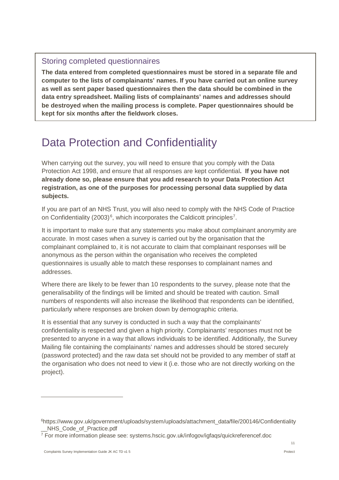### Storing completed questionnaires

**The data entered from completed questionnaires must be stored in a separate file and computer to the lists of complainants' names. If you have carried out an online survey as well as sent paper based questionnaires then the data should be combined in the data entry spreadsheet. Mailing lists of complainants' names and addresses should be destroyed when the mailing process is complete. Paper questionnaires should be kept for six months after the fieldwork closes.** 

# <span id="page-12-0"></span>Data Protection and Confidentiality

When carrying out the survey, you will need to ensure that you comply with the Data Protection Act 1998, and ensure that all responses are kept confidential**. If you have not already done so, please ensure that you add research to your Data Protection Act registration, as one of the purposes for processing personal data supplied by data subjects.**

If you are part of an NHS Trust, you will also need to comply with the NHS Code of Practice on Confidentiality (2003)<sup>[6](#page-12-1)</sup>, which incorporates the Caldicott principles<sup>7</sup>.

It is important to make sure that any statements you make about complainant anonymity are accurate. In most cases when a survey is carried out by the organisation that the complainant complained to, it is not accurate to claim that complainant responses will be anonymous as the person within the organisation who receives the completed questionnaires is usually able to match these responses to complainant names and addresses.

Where there are likely to be fewer than 10 respondents to the survey, please note that the generalisability of the findings will be limited and should be treated with caution. Small numbers of respondents will also increase the likelihood that respondents can be identified, particularly where responses are broken down by demographic criteria.

It is essential that any survey is conducted in such a way that the complainants' confidentiality is respected and given a high priority. Complainants' responses must not be presented to anyone in a way that allows individuals to be identified. Additionally, the Survey Mailing file containing the complainants' names and addresses should be stored securely (password protected) and the raw data set should not be provided to any member of staff at the organisation who does not need to view it (i.e. those who are not directly working on the project).

 $\overline{a}$ 

<span id="page-12-1"></span>[<sup>6</sup>https://www.gov.uk/government/uploads/system/uploads/attachment\\_data/file/200146/Confidentiality](https://www.gov.uk/government/uploads/system/uploads/attachment_data/file/200146/Confidentiality_) NHS Code of Practice.pdf

<span id="page-12-2"></span><sup>7</sup> For more information please see: systems.hscic.gov.uk/infogov/igfaqs/quickreferencef.doc